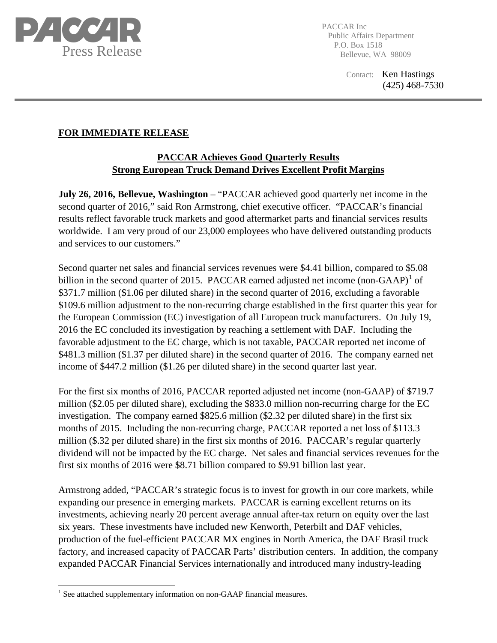

PACCAR Inc Public Affairs Department P.O. Box 1518 Bellevue, WA 98009

> Contact: Ken Hastings (425) 468-7530

## **FOR IMMEDIATE RELEASE**

## **PACCAR Achieves Good Quarterly Results Strong European Truck Demand Drives Excellent Profit Margins**

**July 26, 2016, Bellevue, Washington** – "PACCAR achieved good quarterly net income in the second quarter of 2016," said Ron Armstrong, chief executive officer. "PACCAR's financial results reflect favorable truck markets and good aftermarket parts and financial services results worldwide. I am very proud of our 23,000 employees who have delivered outstanding products and services to our customers."

Second quarter net sales and financial services revenues were \$4.41 billion, compared to \$5.08 billion in the second quarter of 20[1](#page-0-0)5. PACCAR earned adjusted net income (non-GAAP)<sup>1</sup> of \$371.7 million (\$1.06 per diluted share) in the second quarter of 2016, excluding a favorable \$109.6 million adjustment to the non-recurring charge established in the first quarter this year for the European Commission (EC) investigation of all European truck manufacturers. On July 19, 2016 the EC concluded its investigation by reaching a settlement with DAF. Including the favorable adjustment to the EC charge, which is not taxable, PACCAR reported net income of \$481.3 million (\$1.37 per diluted share) in the second quarter of 2016. The company earned net income of \$447.2 million (\$1.26 per diluted share) in the second quarter last year.

For the first six months of 2016, PACCAR reported adjusted net income (non-GAAP) of \$719.7 million (\$2.05 per diluted share), excluding the \$833.0 million non-recurring charge for the EC investigation. The company earned \$825.6 million (\$2.32 per diluted share) in the first six months of 2015. Including the non-recurring charge, PACCAR reported a net loss of \$113.3 million (\$.32 per diluted share) in the first six months of 2016. PACCAR's regular quarterly dividend will not be impacted by the EC charge. Net sales and financial services revenues for the first six months of 2016 were \$8.71 billion compared to \$9.91 billion last year.

Armstrong added, "PACCAR's strategic focus is to invest for growth in our core markets, while expanding our presence in emerging markets. PACCAR is earning excellent returns on its investments, achieving nearly 20 percent average annual after-tax return on equity over the last six years. These investments have included new Kenworth, Peterbilt and DAF vehicles, production of the fuel-efficient PACCAR MX engines in North America, the DAF Brasil truck factory, and increased capacity of PACCAR Parts' distribution centers. In addition, the company expanded PACCAR Financial Services internationally and introduced many industry-leading

<span id="page-0-0"></span><sup>&</sup>lt;sup>1</sup> See attached supplementary information on non-GAAP financial measures.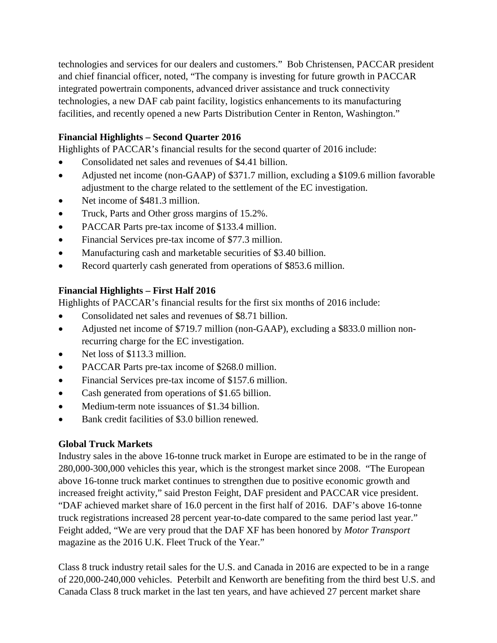technologies and services for our dealers and customers." Bob Christensen, PACCAR president and chief financial officer, noted, "The company is investing for future growth in PACCAR integrated powertrain components, advanced driver assistance and truck connectivity technologies, a new DAF cab paint facility, logistics enhancements to its manufacturing facilities, and recently opened a new Parts Distribution Center in Renton, Washington."

## **Financial Highlights – Second Quarter 2016**

Highlights of PACCAR's financial results for the second quarter of 2016 include:

- Consolidated net sales and revenues of \$4.41 billion.
- Adjusted net income (non-GAAP) of \$371.7 million, excluding a \$109.6 million favorable adjustment to the charge related to the settlement of the EC investigation.
- Net income of \$481.3 million.
- Truck, Parts and Other gross margins of 15.2%.
- PACCAR Parts pre-tax income of \$133.4 million.
- Financial Services pre-tax income of \$77.3 million.
- Manufacturing cash and marketable securities of \$3.40 billion.
- Record quarterly cash generated from operations of \$853.6 million.

## **Financial Highlights – First Half 2016**

Highlights of PACCAR's financial results for the first six months of 2016 include:

- Consolidated net sales and revenues of \$8.71 billion.
- Adjusted net income of \$719.7 million (non-GAAP), excluding a \$833.0 million nonrecurring charge for the EC investigation.
- Net loss of \$113.3 million.
- PACCAR Parts pre-tax income of \$268.0 million.
- Financial Services pre-tax income of \$157.6 million.
- Cash generated from operations of \$1.65 billion.
- Medium-term note issuances of \$1.34 billion.
- Bank credit facilities of \$3.0 billion renewed.

## **Global Truck Markets**

Industry sales in the above 16-tonne truck market in Europe are estimated to be in the range of 280,000-300,000 vehicles this year, which is the strongest market since 2008. "The European above 16-tonne truck market continues to strengthen due to positive economic growth and increased freight activity," said Preston Feight, DAF president and PACCAR vice president. "DAF achieved market share of 16.0 percent in the first half of 2016. DAF's above 16-tonne truck registrations increased 28 percent year-to-date compared to the same period last year." Feight added, "We are very proud that the DAF XF has been honored by *Motor Transport* magazine as the 2016 U.K. Fleet Truck of the Year."

Class 8 truck industry retail sales for the U.S. and Canada in 2016 are expected to be in a range of 220,000-240,000 vehicles. Peterbilt and Kenworth are benefiting from the third best U.S. and Canada Class 8 truck market in the last ten years, and have achieved 27 percent market share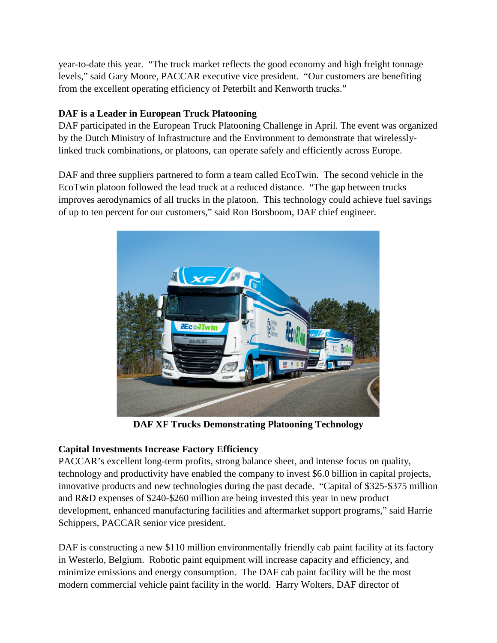year-to-date this year. "The truck market reflects the good economy and high freight tonnage levels," said Gary Moore, PACCAR executive vice president. "Our customers are benefiting from the excellent operating efficiency of Peterbilt and Kenworth trucks."

# **DAF is a Leader in European Truck Platooning**

DAF participated in the European Truck Platooning Challenge in April. The event was organized by the Dutch Ministry of Infrastructure and the Environment to demonstrate that wirelesslylinked truck combinations, or platoons, can operate safely and efficiently across Europe.

DAF and three suppliers partnered to form a team called EcoTwin. The second vehicle in the EcoTwin platoon followed the lead truck at a reduced distance. "The gap between trucks improves aerodynamics of all trucks in the platoon. This technology could achieve fuel savings of up to ten percent for our customers," said Ron Borsboom, DAF chief engineer.



**DAF XF Trucks Demonstrating Platooning Technology**

## **Capital Investments Increase Factory Efficiency**

PACCAR's excellent long-term profits, strong balance sheet, and intense focus on quality, technology and productivity have enabled the company to invest \$6.0 billion in capital projects, innovative products and new technologies during the past decade. "Capital of \$325-\$375 million and R&D expenses of \$240-\$260 million are being invested this year in new product development, enhanced manufacturing facilities and aftermarket support programs," said Harrie Schippers, PACCAR senior vice president.

DAF is constructing a new \$110 million environmentally friendly cab paint facility at its factory in Westerlo, Belgium. Robotic paint equipment will increase capacity and efficiency, and minimize emissions and energy consumption. The DAF cab paint facility will be the most modern commercial vehicle paint facility in the world. Harry Wolters, DAF director of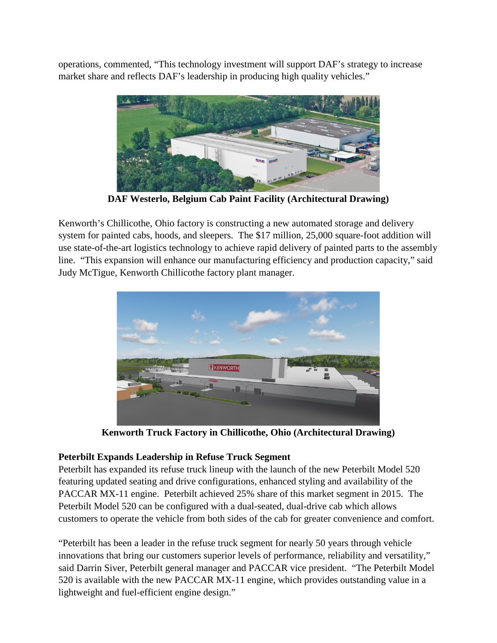operations, commented, "This technology investment will support DAF's strategy to increase market share and reflects DAF's leadership in producing high quality vehicles."



**DAF Westerlo, Belgium Cab Paint Facility (Architectural Drawing)**

Kenworth's Chillicothe, Ohio factory is constructing a new automated storage and delivery system for painted cabs, hoods, and sleepers. The \$17 million, 25,000 square-foot addition will use state-of-the-art logistics technology to achieve rapid delivery of painted parts to the assembly line. "This expansion will enhance our manufacturing efficiency and production capacity," said Judy McTigue, Kenworth Chillicothe factory plant manager.



**Kenworth Truck Factory in Chillicothe, Ohio (Architectural Drawing)**

# **Peterbilt Expands Leadership in Refuse Truck Segment**

Peterbilt has expanded its refuse truck lineup with the launch of the new Peterbilt Model 520 featuring updated seating and drive configurations, enhanced styling and availability of the PACCAR MX-11 engine. Peterbilt achieved 25% share of this market segment in 2015. The Peterbilt Model 520 can be configured with a dual-seated, dual-drive cab which allows customers to operate the vehicle from both sides of the cab for greater convenience and comfort.

"Peterbilt has been a leader in the refuse truck segment for nearly 50 years through vehicle innovations that bring our customers superior levels of performance, reliability and versatility," said Darrin Siver, Peterbilt general manager and PACCAR vice president. "The Peterbilt Model 520 is available with the new PACCAR MX-11 engine, which provides outstanding value in a lightweight and fuel-efficient engine design."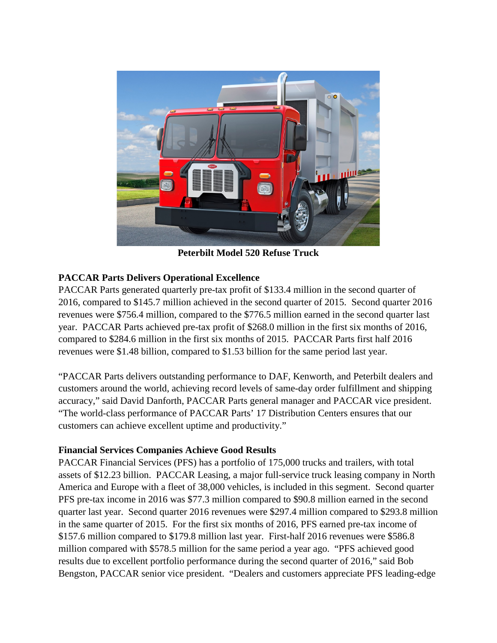

**Peterbilt Model 520 Refuse Truck**

## **PACCAR Parts Delivers Operational Excellence**

PACCAR Parts generated quarterly pre-tax profit of \$133.4 million in the second quarter of 2016, compared to \$145.7 million achieved in the second quarter of 2015. Second quarter 2016 revenues were \$756.4 million, compared to the \$776.5 million earned in the second quarter last year. PACCAR Parts achieved pre-tax profit of \$268.0 million in the first six months of 2016, compared to \$284.6 million in the first six months of 2015. PACCAR Parts first half 2016 revenues were \$1.48 billion, compared to \$1.53 billion for the same period last year.

"PACCAR Parts delivers outstanding performance to DAF, Kenworth, and Peterbilt dealers and customers around the world, achieving record levels of same-day order fulfillment and shipping accuracy," said David Danforth, PACCAR Parts general manager and PACCAR vice president. "The world-class performance of PACCAR Parts' 17 Distribution Centers ensures that our customers can achieve excellent uptime and productivity."

## **Financial Services Companies Achieve Good Results**

PACCAR Financial Services (PFS) has a portfolio of 175,000 trucks and trailers, with total assets of \$12.23 billion. PACCAR Leasing, a major full-service truck leasing company in North America and Europe with a fleet of 38,000 vehicles, is included in this segment. Second quarter PFS pre-tax income in 2016 was \$77.3 million compared to \$90.8 million earned in the second quarter last year. Second quarter 2016 revenues were \$297.4 million compared to \$293.8 million in the same quarter of 2015. For the first six months of 2016, PFS earned pre-tax income of \$157.6 million compared to \$179.8 million last year. First-half 2016 revenues were \$586.8 million compared with \$578.5 million for the same period a year ago. "PFS achieved good results due to excellent portfolio performance during the second quarter of 2016," said Bob Bengston, PACCAR senior vice president. "Dealers and customers appreciate PFS leading-edge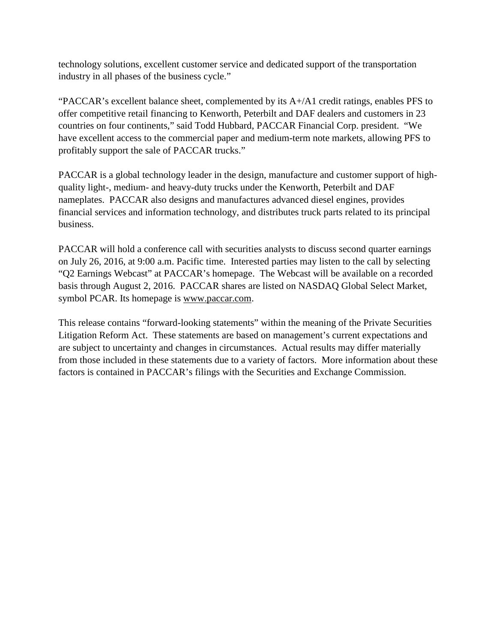technology solutions, excellent customer service and dedicated support of the transportation industry in all phases of the business cycle."

"PACCAR's excellent balance sheet, complemented by its  $A+A1$  credit ratings, enables PFS to offer competitive retail financing to Kenworth, Peterbilt and DAF dealers and customers in 23 countries on four continents," said Todd Hubbard, PACCAR Financial Corp. president. "We have excellent access to the commercial paper and medium-term note markets, allowing PFS to profitably support the sale of PACCAR trucks."

PACCAR is a global technology leader in the design, manufacture and customer support of highquality light-, medium- and heavy-duty trucks under the Kenworth, Peterbilt and DAF nameplates. PACCAR also designs and manufactures advanced diesel engines, provides financial services and information technology, and distributes truck parts related to its principal business.

PACCAR will hold a conference call with securities analysts to discuss second quarter earnings on July 26, 2016, at 9:00 a.m. Pacific time. Interested parties may listen to the call by selecting "Q2 Earnings Webcast" at PACCAR's homepage. The Webcast will be available on a recorded basis through August 2, 2016. PACCAR shares are listed on NASDAQ Global Select Market, symbol PCAR. Its homepage is [www.paccar.com.](http://www.paccar.com/)

This release contains "forward-looking statements" within the meaning of the Private Securities Litigation Reform Act. These statements are based on management's current expectations and are subject to uncertainty and changes in circumstances. Actual results may differ materially from those included in these statements due to a variety of factors. More information about these factors is contained in PACCAR's filings with the Securities and Exchange Commission.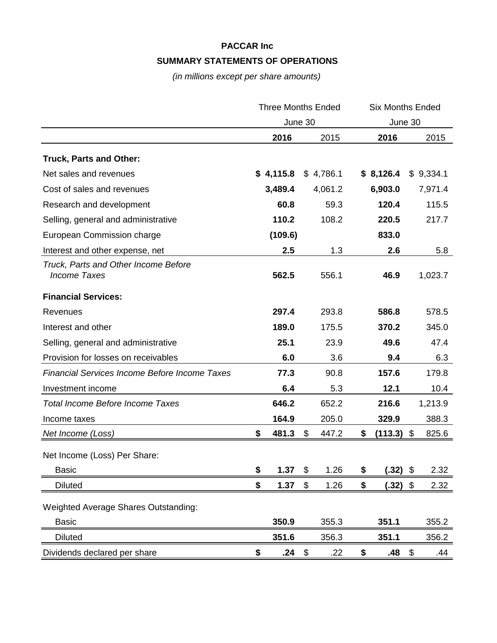# **PACCAR Inc SUMMARY STATEMENTS OF OPERATIONS**

*(in millions except per share amounts)*

|                                                             | <b>Three Months Ended</b> |           |    | <b>Six Months Ended</b> |    |            |    |           |
|-------------------------------------------------------------|---------------------------|-----------|----|-------------------------|----|------------|----|-----------|
|                                                             | June 30                   |           |    | June 30                 |    |            |    |           |
|                                                             |                           | 2016      |    | 2015                    |    | 2016       |    | 2015      |
| <b>Truck, Parts and Other:</b>                              |                           |           |    |                         |    |            |    |           |
| Net sales and revenues                                      |                           | \$4,115.8 |    | \$4,786.1               |    | \$8,126.4  |    | \$9,334.1 |
| Cost of sales and revenues                                  |                           | 3,489.4   |    | 4,061.2                 |    | 6,903.0    |    | 7,971.4   |
| Research and development                                    |                           | 60.8      |    | 59.3                    |    | 120.4      |    | 115.5     |
| Selling, general and administrative                         |                           | 110.2     |    | 108.2                   |    | 220.5      |    | 217.7     |
| European Commission charge                                  |                           | (109.6)   |    |                         |    | 833.0      |    |           |
| Interest and other expense, net                             |                           | 2.5       |    | 1.3                     |    | 2.6        |    | 5.8       |
| Truck, Parts and Other Income Before<br><b>Income Taxes</b> |                           | 562.5     |    | 556.1                   |    | 46.9       |    | 1,023.7   |
| <b>Financial Services:</b>                                  |                           |           |    |                         |    |            |    |           |
| Revenues                                                    |                           | 297.4     |    | 293.8                   |    | 586.8      |    | 578.5     |
| Interest and other                                          |                           | 189.0     |    | 175.5                   |    | 370.2      |    | 345.0     |
| Selling, general and administrative                         |                           | 25.1      |    | 23.9                    |    | 49.6       |    | 47.4      |
| Provision for losses on receivables                         |                           | 6.0       |    | 3.6                     |    | 9.4        |    | 6.3       |
| <b>Financial Services Income Before Income Taxes</b>        |                           | 77.3      |    | 90.8                    |    | 157.6      |    | 179.8     |
| Investment income                                           |                           | 6.4       |    | 5.3                     |    | 12.1       |    | 10.4      |
| <b>Total Income Before Income Taxes</b>                     |                           | 646.2     |    | 652.2                   |    | 216.6      |    | 1,213.9   |
| Income taxes                                                |                           | 164.9     |    | 205.0                   |    | 329.9      |    | 388.3     |
| Net Income (Loss)                                           | \$                        | 481.3     | \$ | 447.2                   | \$ | (113.3)    | \$ | 825.6     |
| Net Income (Loss) Per Share:                                |                           |           |    |                         |    |            |    |           |
| <b>Basic</b>                                                | \$                        | 1.37      | \$ | 1.26                    | \$ | (.32)      | \$ | 2.32      |
| <b>Diluted</b>                                              | \$                        | 1.37      | \$ | 1.26                    | \$ | $(.32)$ \$ |    | 2.32      |
| <b>Weighted Average Shares Outstanding:</b>                 |                           |           |    |                         |    |            |    |           |
| <b>Basic</b>                                                |                           | 350.9     |    | 355.3                   |    | 351.1      |    | 355.2     |
| <b>Diluted</b>                                              |                           | 351.6     |    | 356.3                   |    | 351.1      |    | 356.2     |
| Dividends declared per share                                | \$                        | .24       | \$ | .22                     | \$ | .48        | \$ | .44       |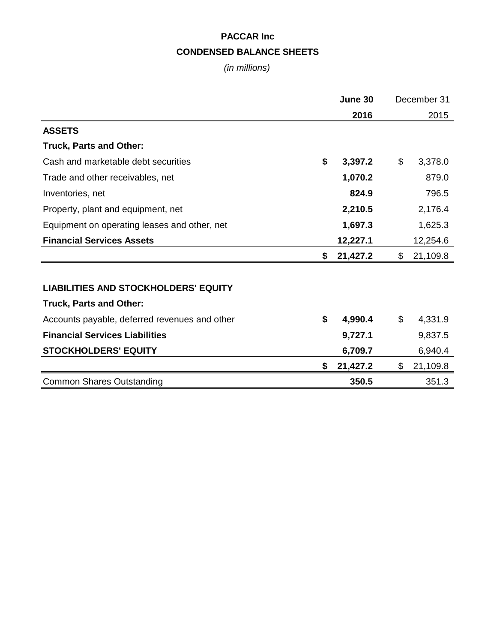# **PACCAR Inc CONDENSED BALANCE SHEETS**

*(in millions)*

|                                               | June 30 |          | December 31    |
|-----------------------------------------------|---------|----------|----------------|
|                                               |         | 2016     | 2015           |
| <b>ASSETS</b>                                 |         |          |                |
| <b>Truck, Parts and Other:</b>                |         |          |                |
| Cash and marketable debt securities           | \$      | 3,397.2  | \$<br>3,378.0  |
| Trade and other receivables, net              |         | 1,070.2  | 879.0          |
| Inventories, net                              |         | 824.9    | 796.5          |
| Property, plant and equipment, net            |         | 2,210.5  | 2,176.4        |
| Equipment on operating leases and other, net  |         | 1,697.3  | 1,625.3        |
| <b>Financial Services Assets</b>              |         | 12,227.1 | 12,254.6       |
|                                               | S       | 21,427.2 | \$<br>21,109.8 |
|                                               |         |          |                |
| <b>LIABILITIES AND STOCKHOLDERS' EQUITY</b>   |         |          |                |
| <b>Truck, Parts and Other:</b>                |         |          |                |
| Accounts payable, deferred revenues and other | \$      | 4,990.4  | \$<br>4,331.9  |
| <b>Financial Services Liabilities</b>         |         | 9,727.1  | 9,837.5        |
| <b>STOCKHOLDERS' EQUITY</b>                   |         | 6,709.7  | 6,940.4        |
|                                               | \$      | 21,427.2 | \$<br>21,109.8 |
| <b>Common Shares Outstanding</b>              |         | 350.5    | 351.3          |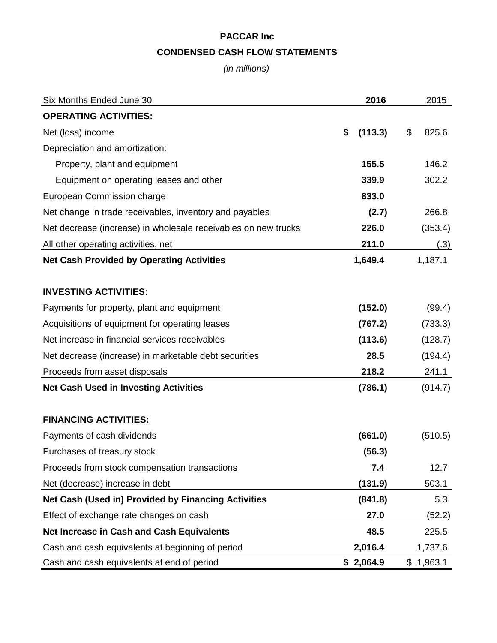# **PACCAR Inc CONDENSED CASH FLOW STATEMENTS**

*(in millions)*

| Six Months Ended June 30                                       | 2016          | 2015        |
|----------------------------------------------------------------|---------------|-------------|
| <b>OPERATING ACTIVITIES:</b>                                   |               |             |
| Net (loss) income                                              | \$<br>(113.3) | \$<br>825.6 |
| Depreciation and amortization:                                 |               |             |
| Property, plant and equipment                                  | 155.5         | 146.2       |
| Equipment on operating leases and other                        | 339.9         | 302.2       |
| European Commission charge                                     | 833.0         |             |
| Net change in trade receivables, inventory and payables        | (2.7)         | 266.8       |
| Net decrease (increase) in wholesale receivables on new trucks | 226.0         | (353.4)     |
| All other operating activities, net                            | 211.0         | (.3)        |
| <b>Net Cash Provided by Operating Activities</b>               | 1,649.4       | 1,187.1     |
|                                                                |               |             |
| <b>INVESTING ACTIVITIES:</b>                                   |               |             |
| Payments for property, plant and equipment                     | (152.0)       | (99.4)      |
| Acquisitions of equipment for operating leases                 | (767.2)       | (733.3)     |
| Net increase in financial services receivables                 | (113.6)       | (128.7)     |
| Net decrease (increase) in marketable debt securities          | 28.5          | (194.4)     |
| Proceeds from asset disposals                                  | 218.2         | 241.1       |
| <b>Net Cash Used in Investing Activities</b>                   | (786.1)       | (914.7)     |
|                                                                |               |             |
| <b>FINANCING ACTIVITIES:</b>                                   |               |             |
| Payments of cash dividends                                     | (661.0)       | (510.5)     |
| Purchases of treasury stock                                    | (56.3)        |             |
| Proceeds from stock compensation transactions                  | 7.4           | 12.7        |
| Net (decrease) increase in debt                                | (131.9)       | 503.1       |
| Net Cash (Used in) Provided by Financing Activities            | (841.8)       | 5.3         |
| Effect of exchange rate changes on cash                        | 27.0          | (52.2)      |
| <b>Net Increase in Cash and Cash Equivalents</b>               | 48.5          | 225.5       |
| Cash and cash equivalents at beginning of period               | 2,016.4       | 1,737.6     |
| Cash and cash equivalents at end of period                     | \$2,064.9     | \$1,963.1   |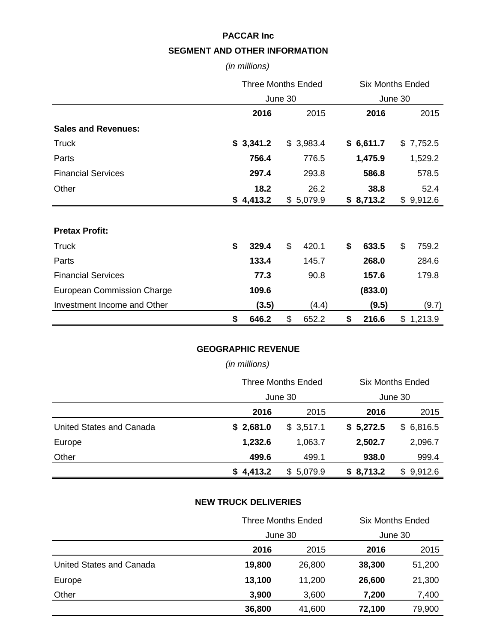#### **PACCAR Inc**

### **SEGMENT AND OTHER INFORMATION**

*(in millions)*

|                             | <b>Three Months Ended</b> |           |         | <b>Six Months Ended</b> |         |           |    |           |
|-----------------------------|---------------------------|-----------|---------|-------------------------|---------|-----------|----|-----------|
|                             |                           |           | June 30 |                         | June 30 |           |    |           |
|                             |                           | 2016      |         | 2015                    |         | 2016      |    | 2015      |
| <b>Sales and Revenues:</b>  |                           |           |         |                         |         |           |    |           |
| <b>Truck</b>                |                           | \$3,341.2 |         | \$3,983.4               |         | \$6,611.7 |    | \$7,752.5 |
| Parts                       |                           | 756.4     |         | 776.5                   |         | 1,475.9   |    | 1,529.2   |
| <b>Financial Services</b>   |                           | 297.4     |         | 293.8                   |         | 586.8     |    | 578.5     |
| Other                       |                           | 18.2      |         | 26.2                    |         | 38.8      |    | 52.4      |
|                             |                           | \$4,413.2 |         | \$5,079.9               |         | \$8,713.2 |    | \$9,912.6 |
|                             |                           |           |         |                         |         |           |    |           |
| <b>Pretax Profit:</b>       |                           |           |         |                         |         |           |    |           |
| <b>Truck</b>                | \$                        | 329.4     | \$      | 420.1                   | \$      | 633.5     | \$ | 759.2     |
| Parts                       |                           | 133.4     |         | 145.7                   |         | 268.0     |    | 284.6     |
| <b>Financial Services</b>   |                           | 77.3      |         | 90.8                    |         | 157.6     |    | 179.8     |
| European Commission Charge  |                           | 109.6     |         |                         |         | (833.0)   |    |           |
| Investment Income and Other |                           | (3.5)     |         | (4.4)                   |         | (9.5)     |    | (9.7)     |
|                             | \$                        | 646.2     | \$      | 652.2                   | \$      | 216.6     |    | \$1,213.9 |

# **GEOGRAPHIC REVENUE**

### *(in millions)*

|                          | <b>Three Months Ended</b><br>June 30 |           | <b>Six Months Ended</b> |           |  |
|--------------------------|--------------------------------------|-----------|-------------------------|-----------|--|
|                          |                                      |           | June 30                 |           |  |
|                          | 2016                                 | 2015      | 2016                    | 2015      |  |
| United States and Canada | \$2,681.0                            | \$3,517.1 | \$5,272.5               | \$6,816.5 |  |
| Europe                   | 1,232.6                              | 1,063.7   | 2,502.7                 | 2,096.7   |  |
| Other                    | 499.6                                | 499.1     | 938.0                   | 999.4     |  |
|                          | \$4,413.2                            | \$5,079.9 | \$8,713.2               | \$9,912.6 |  |

#### **NEW TRUCK DELIVERIES**

|                          | <b>Three Months Ended</b> |         | <b>Six Months Ended</b> |         |
|--------------------------|---------------------------|---------|-------------------------|---------|
|                          |                           | June 30 |                         | June 30 |
|                          | 2016                      | 2015    | 2016                    | 2015    |
| United States and Canada | 19,800                    | 26,800  | 38,300                  | 51,200  |
| Europe                   | 13,100                    | 11,200  | 26,600                  | 21,300  |
| Other                    | 3,900                     | 3,600   | 7,200                   | 7,400   |
|                          | 36,800                    | 41,600  | 72,100                  | 79,900  |